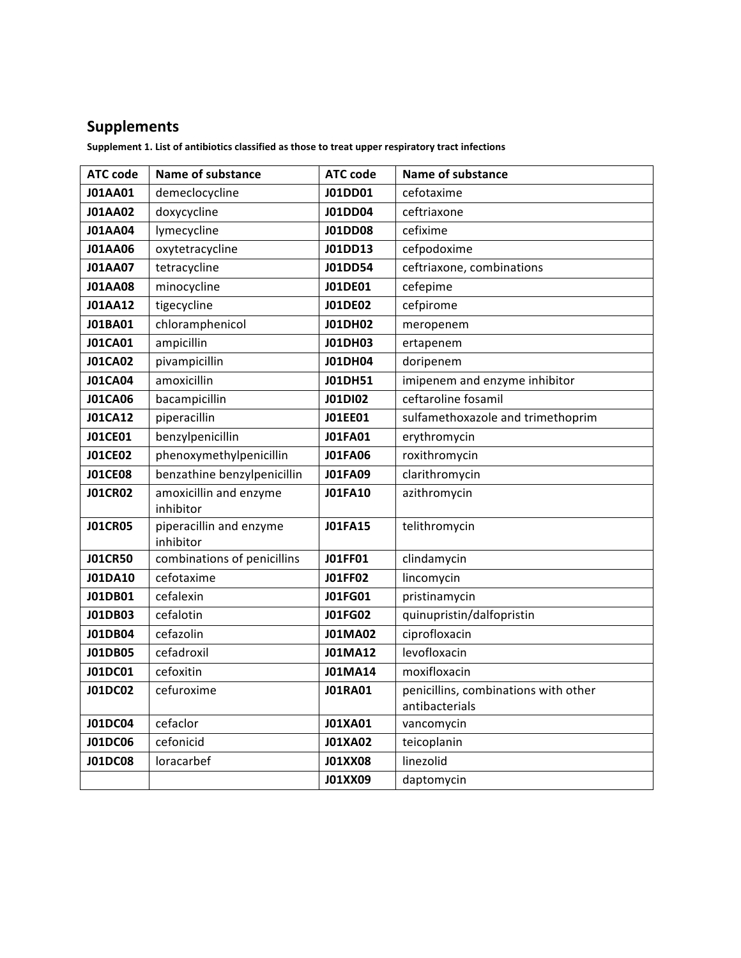## **Supplements**

Supplement 1. List of antibiotics classified as those to treat upper respiratory tract infections

| <b>ATC code</b> | <b>Name of substance</b>                 | <b>ATC code</b> | <b>Name of substance</b>             |
|-----------------|------------------------------------------|-----------------|--------------------------------------|
| <b>J01AA01</b>  | demeclocycline                           | J01DD01         | cefotaxime                           |
| <b>J01AA02</b>  | doxycycline                              | J01DD04         | ceftriaxone                          |
| <b>J01AA04</b>  | lymecycline                              | <b>J01DD08</b>  | cefixime                             |
| <b>J01AA06</b>  | oxytetracycline                          | J01DD13         | cefpodoxime                          |
| <b>J01AA07</b>  | tetracycline                             | J01DD54         | ceftriaxone, combinations            |
| <b>J01AA08</b>  | minocycline                              | <b>J01DE01</b>  | cefepime                             |
| <b>J01AA12</b>  | tigecycline                              | <b>J01DE02</b>  | cefpirome                            |
| J01BA01         | chloramphenicol                          | <b>J01DH02</b>  | meropenem                            |
| <b>J01CA01</b>  | ampicillin                               | <b>J01DH03</b>  | ertapenem                            |
| <b>J01CA02</b>  | pivampicillin                            | <b>J01DH04</b>  | doripenem                            |
| <b>J01CA04</b>  | amoxicillin                              | <b>J01DH51</b>  | imipenem and enzyme inhibitor        |
| <b>J01CA06</b>  | bacampicillin                            | <b>J01DI02</b>  | ceftaroline fosamil                  |
| <b>J01CA12</b>  | piperacillin                             | <b>JO1EE01</b>  | sulfamethoxazole and trimethoprim    |
| <b>JO1CE01</b>  | benzylpenicillin                         | <b>J01FA01</b>  | erythromycin                         |
| <b>JO1CE02</b>  | phenoxymethylpenicillin                  | <b>J01FA06</b>  | roxithromycin                        |
| <b>JO1CE08</b>  | benzathine benzylpenicillin              | <b>J01FA09</b>  | clarithromycin                       |
| <b>JO1CR02</b>  | amoxicillin and enzyme                   | <b>J01FA10</b>  | azithromycin                         |
|                 | inhibitor                                |                 |                                      |
| <b>JO1CR05</b>  | piperacillin and enzyme                  | <b>J01FA15</b>  | telithromycin                        |
| <b>J01CR50</b>  | inhibitor<br>combinations of penicillins | <b>JO1FF01</b>  | clindamycin                          |
| <b>J01DA10</b>  | cefotaxime                               | <b>JO1FF02</b>  | lincomycin                           |
| J01DB01         | cefalexin                                | <b>J01FG01</b>  | pristinamycin                        |
| <b>J01DB03</b>  | cefalotin                                | <b>J01FG02</b>  | quinupristin/dalfopristin            |
| J01DB04         | cefazolin                                | <b>J01MA02</b>  | ciprofloxacin                        |
| <b>J01DB05</b>  | cefadroxil                               | <b>J01MA12</b>  | levofloxacin                         |
| <b>J01DC01</b>  | cefoxitin                                | <b>J01MA14</b>  | moxifloxacin                         |
| <b>J01DC02</b>  | cefuroxime                               | <b>J01RA01</b>  | penicillins, combinations with other |
|                 |                                          |                 | antibacterials                       |
| <b>J01DC04</b>  | cefaclor                                 | <b>J01XA01</b>  | vancomycin                           |
| <b>J01DC06</b>  | cefonicid                                | <b>J01XA02</b>  | teicoplanin                          |
| <b>J01DC08</b>  | loracarbef                               | <b>J01XX08</b>  | linezolid                            |
|                 |                                          | J01XX09         | daptomycin                           |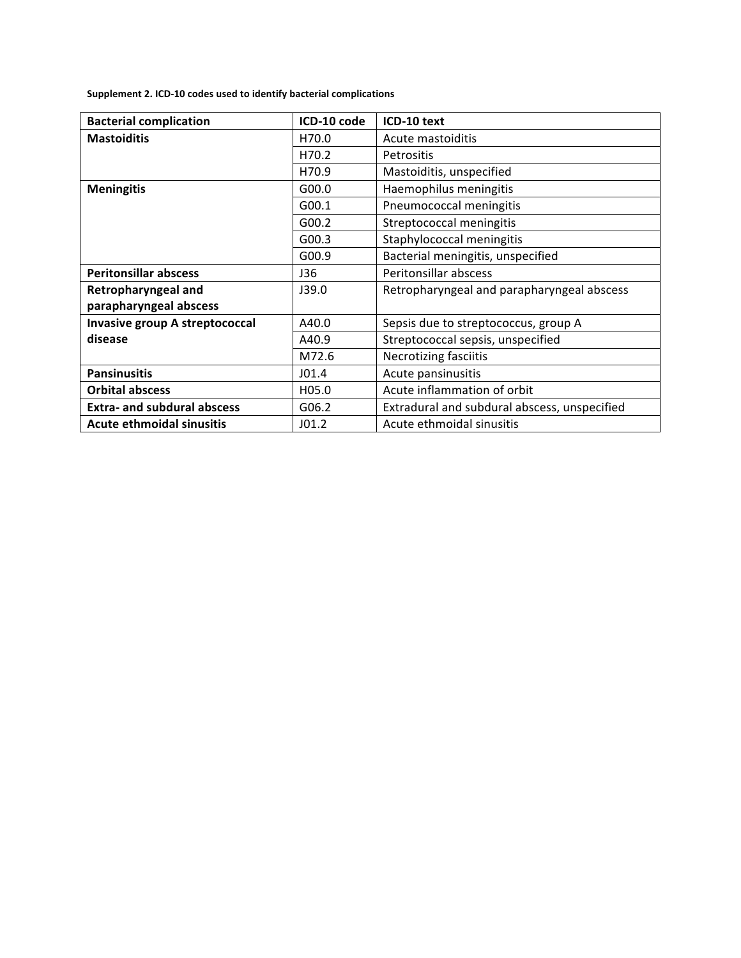Supplement 2. ICD-10 codes used to identify bacterial complications

| <b>Bacterial complication</b>         | ICD-10 code | ICD-10 text                                  |
|---------------------------------------|-------------|----------------------------------------------|
| <b>Mastoiditis</b>                    | H70.0       | Acute mastoiditis                            |
|                                       | H70.2       | <b>Petrositis</b>                            |
|                                       | H70.9       | Mastoiditis, unspecified                     |
| <b>Meningitis</b>                     | G00.0       | Haemophilus meningitis                       |
|                                       | G00.1       | Pneumococcal meningitis                      |
|                                       | G00.2       | Streptococcal meningitis                     |
|                                       | G00.3       | Staphylococcal meningitis                    |
|                                       | G00.9       | Bacterial meningitis, unspecified            |
| <b>Peritonsillar abscess</b>          | J36         | Peritonsillar abscess                        |
| Retropharyngeal and                   | J39.0       | Retropharyngeal and parapharyngeal abscess   |
| parapharyngeal abscess                |             |                                              |
| <b>Invasive group A streptococcal</b> | A40.0       | Sepsis due to streptococcus, group A         |
| disease                               | A40.9       | Streptococcal sepsis, unspecified            |
|                                       | M72.6       | <b>Necrotizing fasciitis</b>                 |
| <b>Pansinusitis</b>                   | J01.4       | Acute pansinusitis                           |
| <b>Orbital abscess</b>                | H05.0       | Acute inflammation of orbit                  |
| <b>Extra- and subdural abscess</b>    | G06.2       | Extradural and subdural abscess, unspecified |
| <b>Acute ethmoidal sinusitis</b>      | J01.2       | Acute ethmoidal sinusitis                    |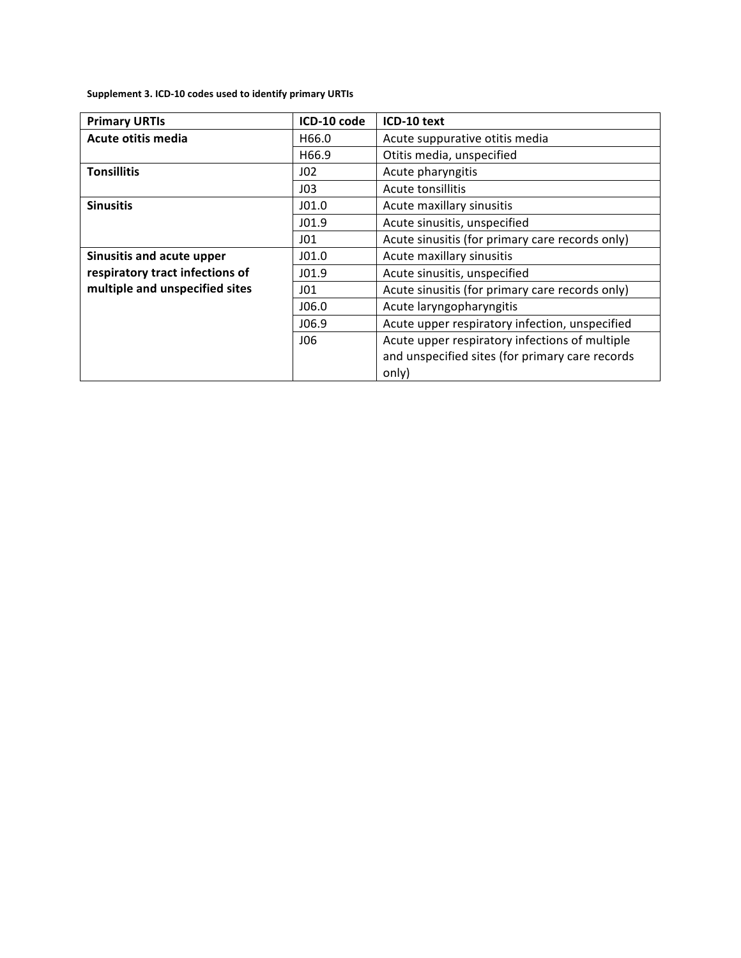Supplement 3. ICD-10 codes used to identify primary URTIs

| <b>Primary URTIs</b>            | ICD-10 code     | ICD-10 text                                     |
|---------------------------------|-----------------|-------------------------------------------------|
| Acute otitis media              | H66.0           | Acute suppurative otitis media                  |
|                                 | H66.9           | Otitis media, unspecified                       |
| <b>Tonsillitis</b>              | J02             | Acute pharyngitis                               |
|                                 | J03             | Acute tonsillitis                               |
| <b>Sinusitis</b>                | J01.0           | Acute maxillary sinusitis                       |
|                                 | J01.9           | Acute sinusitis, unspecified                    |
|                                 | J01             | Acute sinusitis (for primary care records only) |
| Sinusitis and acute upper       | J01.0           | Acute maxillary sinusitis                       |
| respiratory tract infections of | J01.9           | Acute sinusitis, unspecified                    |
| multiple and unspecified sites  | J <sub>01</sub> | Acute sinusitis (for primary care records only) |
|                                 | J06.0           | Acute laryngopharyngitis                        |
|                                 | J06.9           | Acute upper respiratory infection, unspecified  |
|                                 | 106             | Acute upper respiratory infections of multiple  |
|                                 |                 | and unspecified sites (for primary care records |
|                                 |                 | only)                                           |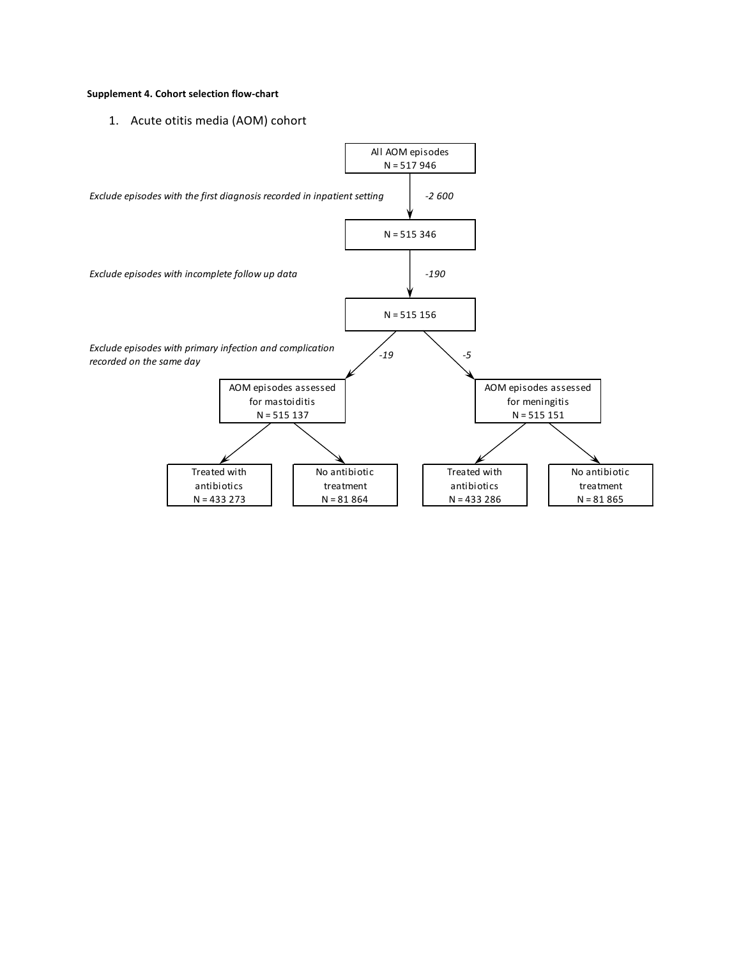## Supplement 4. Cohort selection flow-chart

1. Acute otitis media (AOM) cohort

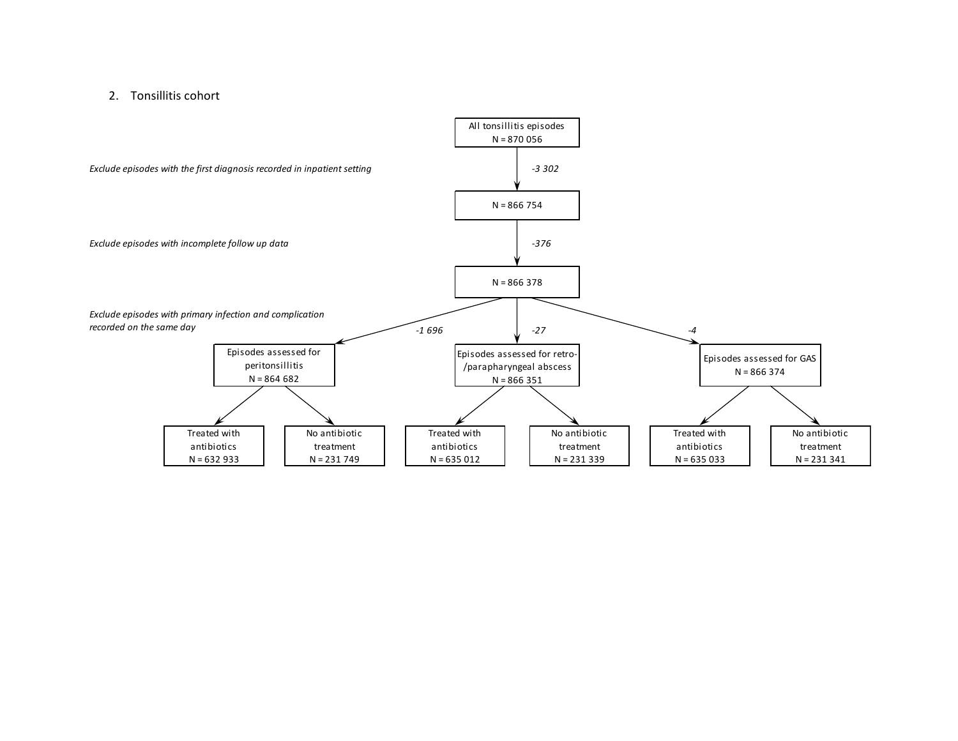## 2. Tonsillitis cohort

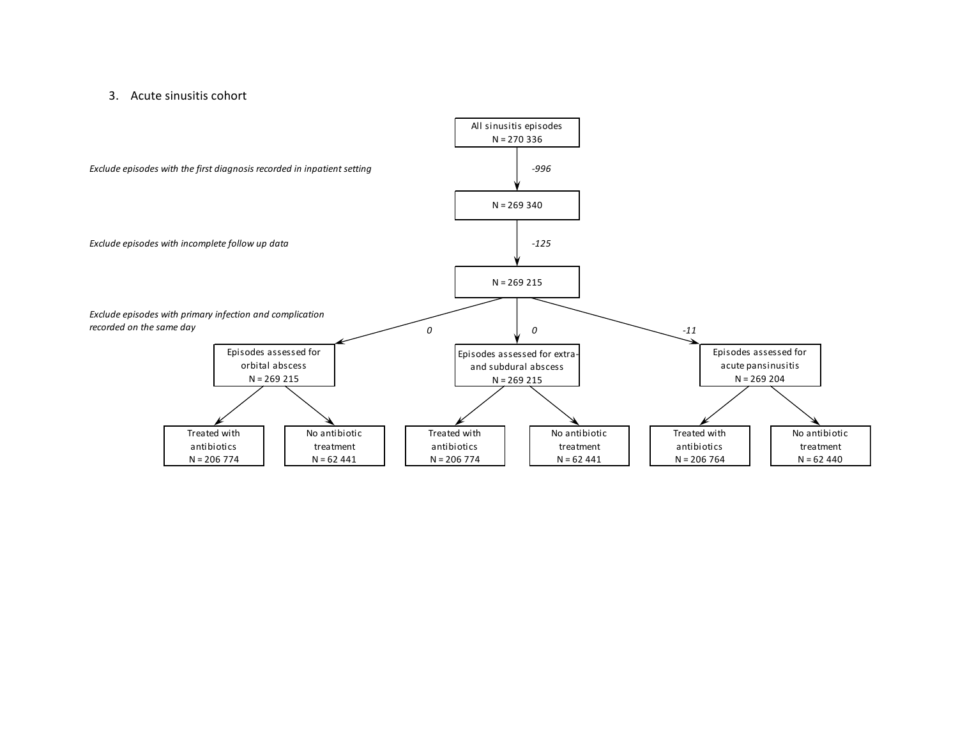## 3. Acute sinusitis cohort